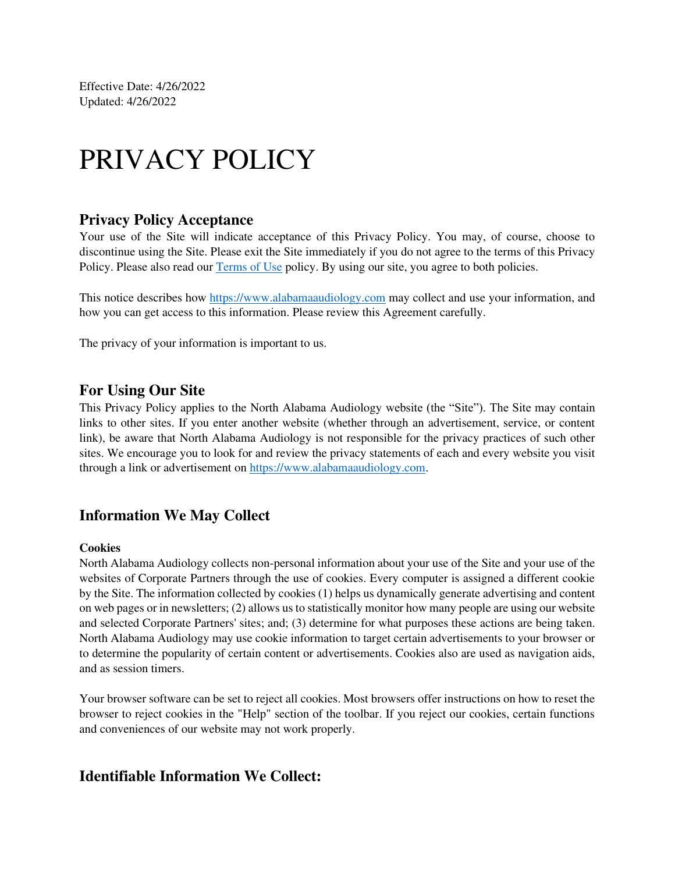Effective Date: 4/26/2022 Updated: 4/26/2022

# PRIVACY POLICY

#### **Privacy Policy Acceptance**

Your use of the Site will indicate acceptance of this Privacy Policy. You may, of course, choose to discontinue using the Site. Please exit the Site immediately if you do not agree to the terms of this Privacy Policy. Please also read our [Terms of Use](https://www.alabamaaudiology.com/terms) policy. By using our site, you agree to both policies.

This notice describes how [https://www.alabamaaudiology.com](https://www.alabamaaudiology.com/) may collect and use your information, and how you can get access to this information. Please review this Agreement carefully.

The privacy of your information is important to us.

#### **For Using Our Site**

This Privacy Policy applies to the North Alabama Audiology website (the "Site"). The Site may contain links to other sites. If you enter another website (whether through an advertisement, service, or content link), be aware that North Alabama Audiology is not responsible for the privacy practices of such other sites. We encourage you to look for and review the privacy statements of each and every website you visit through a link or advertisement on [https://www.alabamaaudiology.com.](https://www.alabamaaudiology.com/)

#### **Information We May Collect**

#### **Cookies**

North Alabama Audiology collects non-personal information about your use of the Site and your use of the websites of Corporate Partners through the use of cookies. Every computer is assigned a different cookie by the Site. The information collected by cookies (1) helps us dynamically generate advertising and content on web pages or in newsletters; (2) allows us to statistically monitor how many people are using our website and selected Corporate Partners' sites; and; (3) determine for what purposes these actions are being taken. North Alabama Audiology may use cookie information to target certain advertisements to your browser or to determine the popularity of certain content or advertisements. Cookies also are used as navigation aids, and as session timers.

Your browser software can be set to reject all cookies. Most browsers offer instructions on how to reset the browser to reject cookies in the "Help" section of the toolbar. If you reject our cookies, certain functions and conveniences of our website may not work properly.

#### **Identifiable Information We Collect:**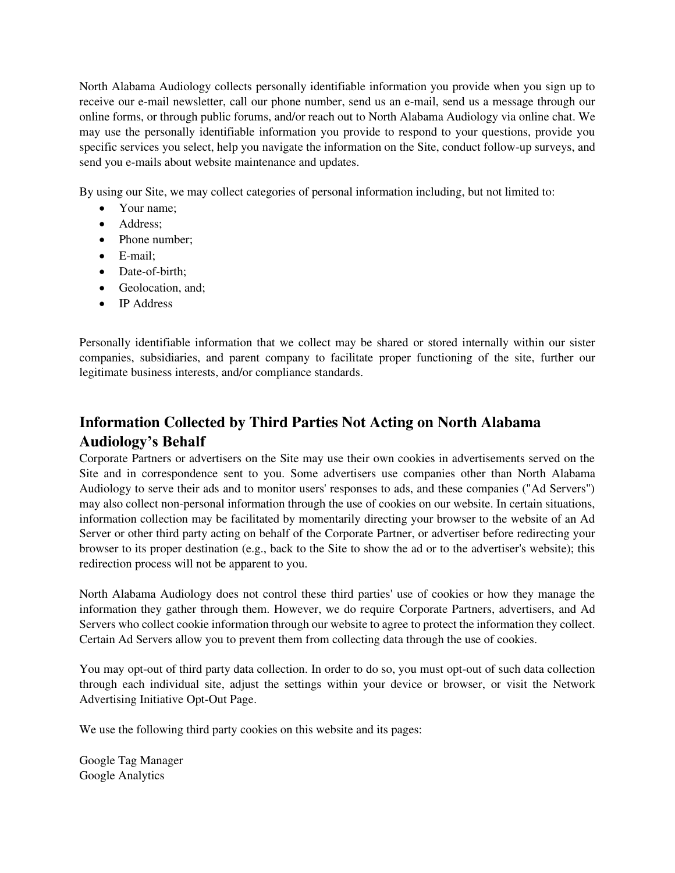North Alabama Audiology collects personally identifiable information you provide when you sign up to receive our e-mail newsletter, call our phone number, send us an e-mail, send us a message through our online forms, or through public forums, and/or reach out to North Alabama Audiology via online chat. We may use the personally identifiable information you provide to respond to your questions, provide you specific services you select, help you navigate the information on the Site, conduct follow-up surveys, and send you e-mails about website maintenance and updates.

By using our Site, we may collect categories of personal information including, but not limited to:

- Your name:
- Address;
- Phone number:
- E-mail;
- Date-of-birth:
- Geolocation, and;
- IP Address

Personally identifiable information that we collect may be shared or stored internally within our sister companies, subsidiaries, and parent company to facilitate proper functioning of the site, further our legitimate business interests, and/or compliance standards.

## **Information Collected by Third Parties Not Acting on North Alabama Audiology's Behalf**

Corporate Partners or advertisers on the Site may use their own cookies in advertisements served on the Site and in correspondence sent to you. Some advertisers use companies other than North Alabama Audiology to serve their ads and to monitor users' responses to ads, and these companies ("Ad Servers") may also collect non-personal information through the use of cookies on our website. In certain situations, information collection may be facilitated by momentarily directing your browser to the website of an Ad Server or other third party acting on behalf of the Corporate Partner, or advertiser before redirecting your browser to its proper destination (e.g., back to the Site to show the ad or to the advertiser's website); this redirection process will not be apparent to you.

North Alabama Audiology does not control these third parties' use of cookies or how they manage the information they gather through them. However, we do require Corporate Partners, advertisers, and Ad Servers who collect cookie information through our website to agree to protect the information they collect. Certain Ad Servers allow you to prevent them from collecting data through the use of cookies.

You may opt-out of third party data collection. In order to do so, you must opt-out of such data collection through each individual site, adjust the settings within your device or browser, or visit the Network Advertising Initiative Opt-Out Page.

We use the following third party cookies on this website and its pages:

Google Tag Manager Google Analytics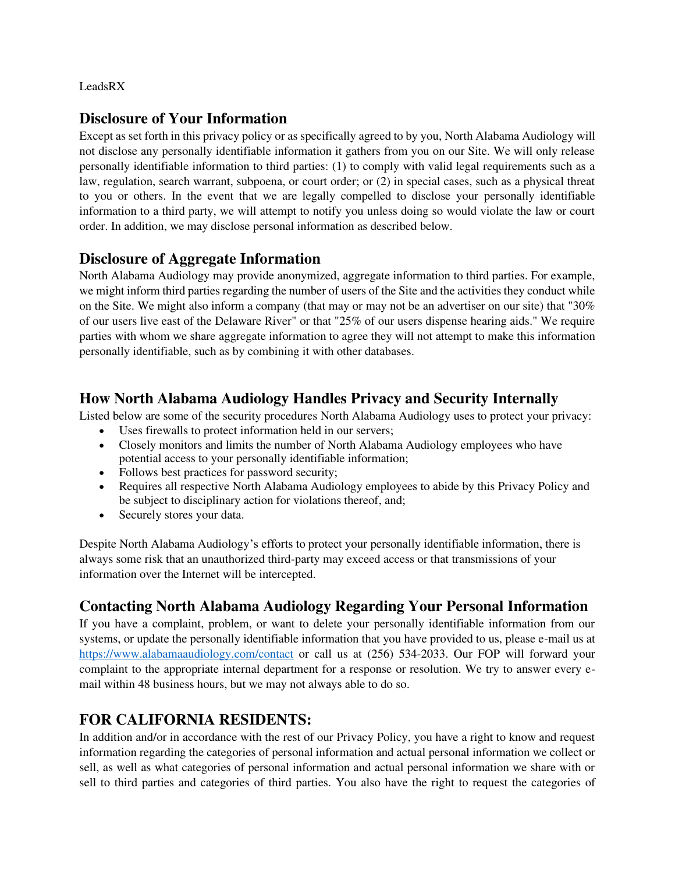LeadsRX

#### **Disclosure of Your Information**

Except as set forth in this privacy policy or as specifically agreed to by you, North Alabama Audiology will not disclose any personally identifiable information it gathers from you on our Site. We will only release personally identifiable information to third parties: (1) to comply with valid legal requirements such as a law, regulation, search warrant, subpoena, or court order; or (2) in special cases, such as a physical threat to you or others. In the event that we are legally compelled to disclose your personally identifiable information to a third party, we will attempt to notify you unless doing so would violate the law or court order. In addition, we may disclose personal information as described below.

### **Disclosure of Aggregate Information**

North Alabama Audiology may provide anonymized, aggregate information to third parties. For example, we might inform third parties regarding the number of users of the Site and the activities they conduct while on the Site. We might also inform a company (that may or may not be an advertiser on our site) that "30% of our users live east of the Delaware River" or that "25% of our users dispense hearing aids." We require parties with whom we share aggregate information to agree they will not attempt to make this information personally identifiable, such as by combining it with other databases.

## **How North Alabama Audiology Handles Privacy and Security Internally**

Listed below are some of the security procedures North Alabama Audiology uses to protect your privacy:

- Uses firewalls to protect information held in our servers;
- Closely monitors and limits the number of North Alabama Audiology employees who have potential access to your personally identifiable information;
- Follows best practices for password security;
- Requires all respective North Alabama Audiology employees to abide by this Privacy Policy and be subject to disciplinary action for violations thereof, and;
- Securely stores your data.

Despite North Alabama Audiology's efforts to protect your personally identifiable information, there is always some risk that an unauthorized third-party may exceed access or that transmissions of your information over the Internet will be intercepted.

## **Contacting North Alabama Audiology Regarding Your Personal Information**

If you have a complaint, problem, or want to delete your personally identifiable information from our systems, or update the personally identifiable information that you have provided to us, please e-mail us at <https://www.alabamaaudiology.com/contact>or call us at (256) 534-2033. Our FOP will forward your complaint to the appropriate internal department for a response or resolution. We try to answer every email within 48 business hours, but we may not always able to do so.

## **FOR CALIFORNIA RESIDENTS:**

In addition and/or in accordance with the rest of our Privacy Policy, you have a right to know and request information regarding the categories of personal information and actual personal information we collect or sell, as well as what categories of personal information and actual personal information we share with or sell to third parties and categories of third parties. You also have the right to request the categories of